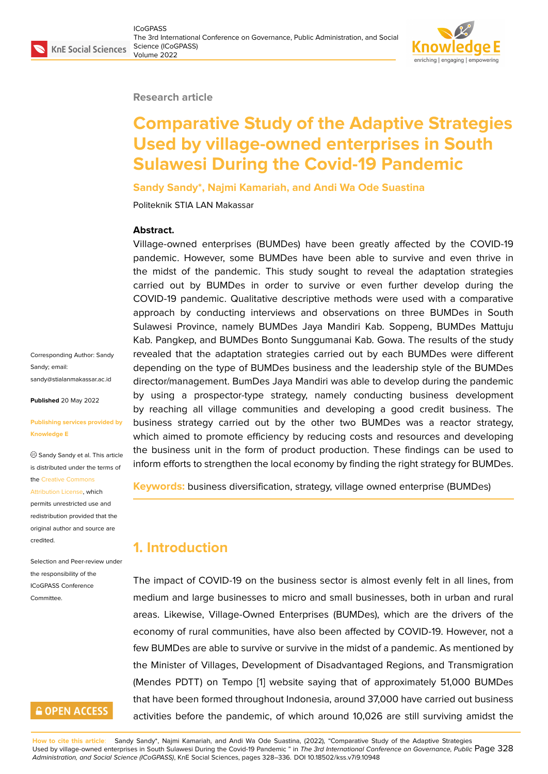### **Research article**

# **Comparative Study of the Adaptive Strategies Used by village-owned enterprises in South Sulawesi During the Covid-19 Pandemic**

**Sandy Sandy\*, Najmi Kamariah, and Andi Wa Ode Suastina**

Politeknik STIA LAN Makassar

### **Abstract.**

Village-owned enterprises (BUMDes) have been greatly affected by the COVID-19 pandemic. However, some BUMDes have been able to survive and even thrive in the midst of the pandemic. This study sought to reveal the adaptation strategies carried out by BUMDes in order to survive or even further develop during the COVID-19 pandemic. Qualitative descriptive methods were used with a comparative approach by conducting interviews and observations on three BUMDes in South Sulawesi Province, namely BUMDes Jaya Mandiri Kab. Soppeng, BUMDes Mattuju Kab. Pangkep, and BUMDes Bonto Sunggumanai Kab. Gowa. The results of the study revealed that the adaptation strategies carried out by each BUMDes were different depending on the type of BUMDes business and the leadership style of the BUMDes director/management. BumDes Jaya Mandiri was able to develop during the pandemic by using a prospector-type strategy, namely conducting business development by reaching all village communities and developing a good credit business. The business strategy carried out by the other two BUMDes was a reactor strategy, which aimed to promote efficiency by reducing costs and resources and developing the business unit in the form of product production. These findings can be used to inform efforts to strengthen the local economy by finding the right strategy for BUMDes.

**Keywords:** business diversification, strategy, village owned enterprise (BUMDes)

## **1. Introduction**

The impact of COVID-19 on the business sector is almost evenly felt in all lines, from medium and large businesses to micro and small businesses, both in urban and rural areas. Likewise, Village-Owned Enterprises (BUMDes), which are the drivers of the economy of rural communities, have also been affected by COVID-19. However, not a few BUMDes are able to survive or survive in the midst of a pandemic. As mentioned by the Minister of Villages, Development of Disadvantaged Regions, and Transmigration (Mendes PDTT) on Tempo [1] website saying that of approximately 51,000 BUMDes that have been formed throughout Indonesia, around 37,000 have carried out business activities before the pandemic, of which around 10,026 are still surviving amidst the

**How to cite this article**: Sandy Sandy\*, Najmi Kamariah, and Andi Wa Ode Suastina, (2022), "Comparative Study of the Adaptive Strategies Used by village-owned enterprises in South Sulawesi During the Covid-19 Pandemic " in *The 3rd International Conference on Governance, Public* Page 328 *Administration, and Social Science (ICoGPASS)*, KnE Social Sciences, pages 328–336. DOI 10.18502/kss.v7i9.10948

Corresponding Author: Sandy Sandy; email: sandy@stialanmakassar.ac.id

**Published** 20 May 2022

#### **[Publishing services provided](mailto:sandy@stialanmakassar.ac.id) by Knowledge E**

Sandy Sandy et al. This article is distributed under the terms of the Creative Commons

#### Attribution License, which

permits unrestricted use and redistribution provided that the orig[inal author and sou](https://creativecommons.org/licenses/by/4.0/)rce are [credited.](https://creativecommons.org/licenses/by/4.0/)

Selection and Peer-review under the responsibility of the ICoGPASS Conference Committee.

## **GOPEN ACCESS**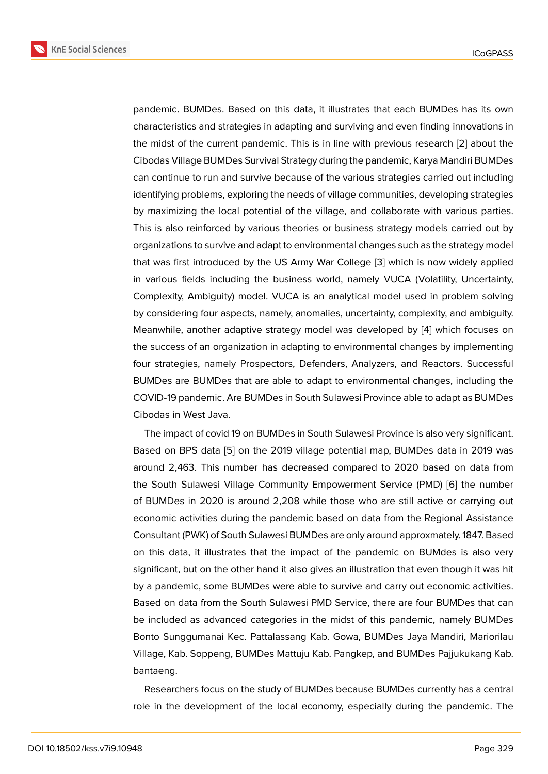pandemic. BUMDes. Based on this data, it illustrates that each BUMDes has its own characteristics and strategies in adapting and surviving and even finding innovations in the midst of the current pandemic. This is in line with previous research [2] about the Cibodas Village BUMDes Survival Strategy during the pandemic, Karya Mandiri BUMDes can continue to run and survive because of the various strategies carried out including identifying problems, exploring the needs of village communities, developi[ng](#page-7-0) strategies by maximizing the local potential of the village, and collaborate with various parties. This is also reinforced by various theories or business strategy models carried out by organizations to survive and adapt to environmental changes such as the strategy model that was first introduced by the US Army War College [3] which is now widely applied in various fields including the business world, namely VUCA (Volatility, Uncertainty, Complexity, Ambiguity) model. VUCA is an analytical model used in problem solving by considering four aspects, namely, anomalies, uncert[ain](#page-7-1)ty, complexity, and ambiguity. Meanwhile, another adaptive strategy model was developed by [4] which focuses on the success of an organization in adapting to environmental changes by implementing four strategies, namely Prospectors, Defenders, Analyzers, and Reactors. Successful BUMDes are BUMDes that are able to adapt to environmental ch[an](#page-7-2)ges, including the COVID-19 pandemic. Are BUMDes in South Sulawesi Province able to adapt as BUMDes Cibodas in West Java.

The impact of covid 19 on BUMDes in South Sulawesi Province is also very significant. Based on BPS data [5] on the 2019 village potential map, BUMDes data in 2019 was around 2,463. This number has decreased compared to 2020 based on data from the South Sulawesi Village Community Empowerment Service (PMD) [6] the number of BUMDes in 2020 [is](#page-8-0) around 2,208 while those who are still active or carrying out economic activities during the pandemic based on data from the Regional Assistance Consultant (PWK) of South Sulawesi BUMDes are only around approxmat[ely](#page-8-1). 1847. Based on this data, it illustrates that the impact of the pandemic on BUMdes is also very significant, but on the other hand it also gives an illustration that even though it was hit by a pandemic, some BUMDes were able to survive and carry out economic activities. Based on data from the South Sulawesi PMD Service, there are four BUMDes that can be included as advanced categories in the midst of this pandemic, namely BUMDes Bonto Sunggumanai Kec. Pattalassang Kab. Gowa, BUMDes Jaya Mandiri, Mariorilau Village, Kab. Soppeng, BUMDes Mattuju Kab. Pangkep, and BUMDes Pajjukukang Kab. bantaeng.

Researchers focus on the study of BUMDes because BUMDes currently has a central role in the development of the local economy, especially during the pandemic. The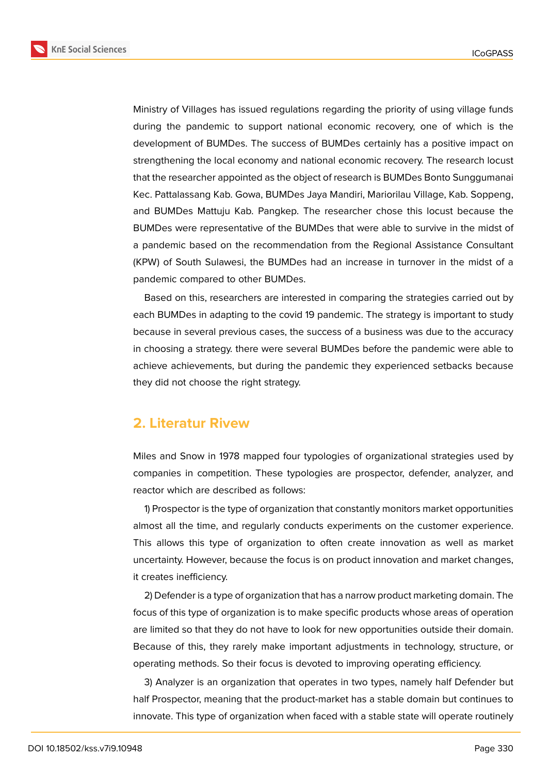**KnE Social Sciences** 



Ministry of Villages has issued regulations regarding the priority of using village funds during the pandemic to support national economic recovery, one of which is the development of BUMDes. The success of BUMDes certainly has a positive impact on strengthening the local economy and national economic recovery. The research locust that the researcher appointed as the object of research is BUMDes Bonto Sunggumanai Kec. Pattalassang Kab. Gowa, BUMDes Jaya Mandiri, Mariorilau Village, Kab. Soppeng, and BUMDes Mattuju Kab. Pangkep. The researcher chose this locust because the BUMDes were representative of the BUMDes that were able to survive in the midst of a pandemic based on the recommendation from the Regional Assistance Consultant (KPW) of South Sulawesi, the BUMDes had an increase in turnover in the midst of a pandemic compared to other BUMDes.

Based on this, researchers are interested in comparing the strategies carried out by each BUMDes in adapting to the covid 19 pandemic. The strategy is important to study because in several previous cases, the success of a business was due to the accuracy in choosing a strategy. there were several BUMDes before the pandemic were able to achieve achievements, but during the pandemic they experienced setbacks because they did not choose the right strategy.

## **2. Literatur Rivew**

Miles and Snow in 1978 mapped four typologies of organizational strategies used by companies in competition. These typologies are prospector, defender, analyzer, and reactor which are described as follows:

1) Prospector is the type of organization that constantly monitors market opportunities almost all the time, and regularly conducts experiments on the customer experience. This allows this type of organization to often create innovation as well as market uncertainty. However, because the focus is on product innovation and market changes, it creates inefficiency.

2) Defender is a type of organization that has a narrow product marketing domain. The focus of this type of organization is to make specific products whose areas of operation are limited so that they do not have to look for new opportunities outside their domain. Because of this, they rarely make important adjustments in technology, structure, or operating methods. So their focus is devoted to improving operating efficiency.

3) Analyzer is an organization that operates in two types, namely half Defender but half Prospector, meaning that the product-market has a stable domain but continues to innovate. This type of organization when faced with a stable state will operate routinely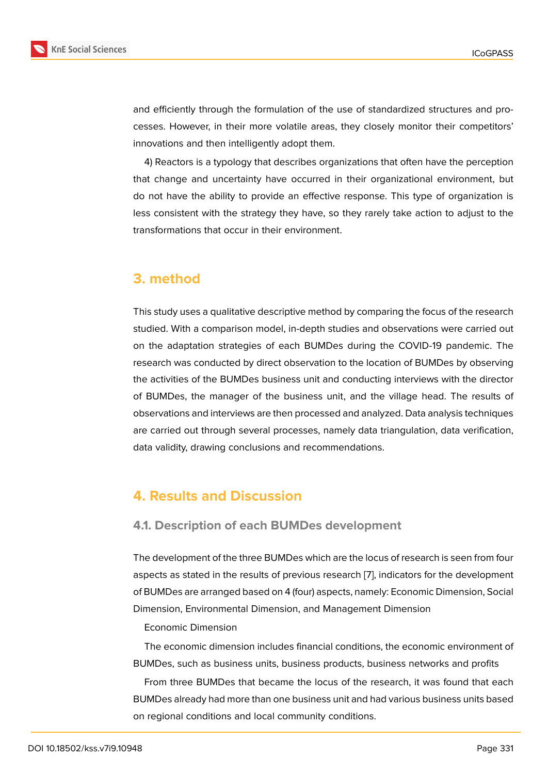and efficiently through the formulation of the use of standardized structures and processes. However, in their more volatile areas, they closely monitor their competitors' innovations and then intelligently adopt them.

4) Reactors is a typology that describes organizations that often have the perception that change and uncertainty have occurred in their organizational environment, but do not have the ability to provide an effective response. This type of organization is less consistent with the strategy they have, so they rarely take action to adjust to the transformations that occur in their environment.

## **3. method**

This study uses a qualitative descriptive method by comparing the focus of the research studied. With a comparison model, in-depth studies and observations were carried out on the adaptation strategies of each BUMDes during the COVID-19 pandemic. The research was conducted by direct observation to the location of BUMDes by observing the activities of the BUMDes business unit and conducting interviews with the director of BUMDes, the manager of the business unit, and the village head. The results of observations and interviews are then processed and analyzed. Data analysis techniques are carried out through several processes, namely data triangulation, data verification, data validity, drawing conclusions and recommendations.

## **4. Results and Discussion**

## **4.1. Description of each BUMDes development**

The development of the three BUMDes which are the locus of research is seen from four aspects as stated in the results of previous research [7], indicators for the development of BUMDes are arranged based on 4 (four) aspects, namely: Economic Dimension, Social Dimension, Environmental Dimension, and Management Dimension

#### Economic Dimension

The economic dimension includes financial conditions, the economic environment of BUMDes, such as business units, business products, business networks and profits

From three BUMDes that became the locus of the research, it was found that each BUMDes already had more than one business unit and had various business units based on regional conditions and local community conditions.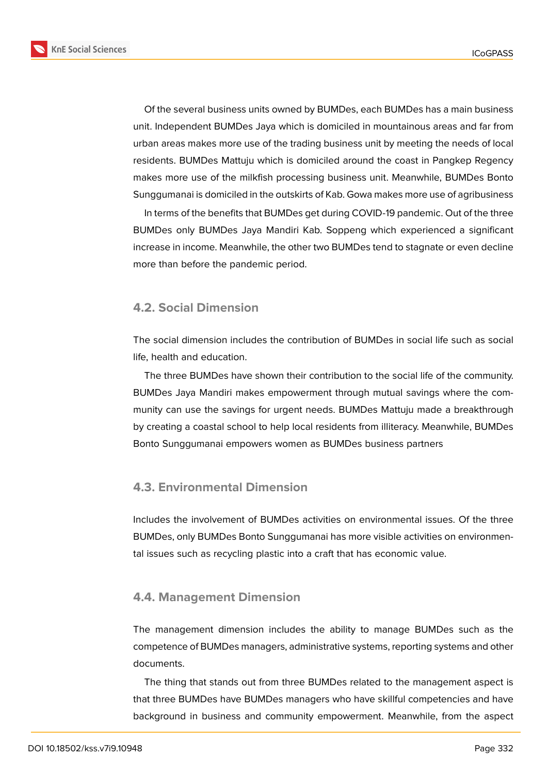**KnE Social Sciences** 



Of the several business units owned by BUMDes, each BUMDes has a main business unit. Independent BUMDes Jaya which is domiciled in mountainous areas and far from urban areas makes more use of the trading business unit by meeting the needs of local residents. BUMDes Mattuju which is domiciled around the coast in Pangkep Regency makes more use of the milkfish processing business unit. Meanwhile, BUMDes Bonto Sunggumanai is domiciled in the outskirts of Kab. Gowa makes more use of agribusiness

In terms of the benefits that BUMDes get during COVID-19 pandemic. Out of the three BUMDes only BUMDes Jaya Mandiri Kab. Soppeng which experienced a significant increase in income. Meanwhile, the other two BUMDes tend to stagnate or even decline more than before the pandemic period.

### **4.2. Social Dimension**

The social dimension includes the contribution of BUMDes in social life such as social life, health and education.

The three BUMDes have shown their contribution to the social life of the community. BUMDes Jaya Mandiri makes empowerment through mutual savings where the community can use the savings for urgent needs. BUMDes Mattuju made a breakthrough by creating a coastal school to help local residents from illiteracy. Meanwhile, BUMDes Bonto Sunggumanai empowers women as BUMDes business partners

## **4.3. Environmental Dimension**

Includes the involvement of BUMDes activities on environmental issues. Of the three BUMDes, only BUMDes Bonto Sunggumanai has more visible activities on environmental issues such as recycling plastic into a craft that has economic value.

### **4.4. Management Dimension**

The management dimension includes the ability to manage BUMDes such as the competence of BUMDes managers, administrative systems, reporting systems and other documents.

The thing that stands out from three BUMDes related to the management aspect is that three BUMDes have BUMDes managers who have skillful competencies and have background in business and community empowerment. Meanwhile, from the aspect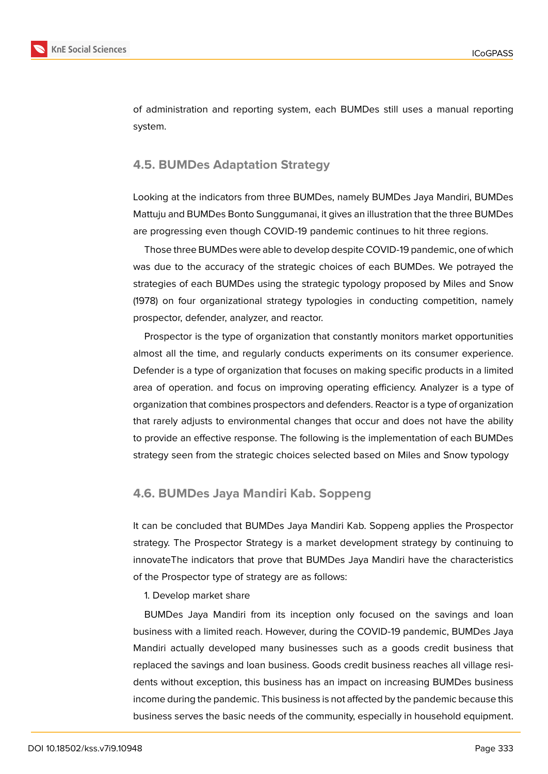

of administration and reporting system, each BUMDes still uses a manual reporting system.

## **4.5. BUMDes Adaptation Strategy**

Looking at the indicators from three BUMDes, namely BUMDes Jaya Mandiri, BUMDes Mattuju and BUMDes Bonto Sunggumanai, it gives an illustration that the three BUMDes are progressing even though COVID-19 pandemic continues to hit three regions.

Those three BUMDes were able to develop despite COVID-19 pandemic, one of which was due to the accuracy of the strategic choices of each BUMDes. We potrayed the strategies of each BUMDes using the strategic typology proposed by Miles and Snow (1978) on four organizational strategy typologies in conducting competition, namely prospector, defender, analyzer, and reactor.

Prospector is the type of organization that constantly monitors market opportunities almost all the time, and regularly conducts experiments on its consumer experience. Defender is a type of organization that focuses on making specific products in a limited area of operation. and focus on improving operating efficiency. Analyzer is a type of organization that combines prospectors and defenders. Reactor is a type of organization that rarely adjusts to environmental changes that occur and does not have the ability to provide an effective response. The following is the implementation of each BUMDes strategy seen from the strategic choices selected based on Miles and Snow typology

## **4.6. BUMDes Jaya Mandiri Kab. Soppeng**

It can be concluded that BUMDes Jaya Mandiri Kab. Soppeng applies the Prospector strategy. The Prospector Strategy is a market development strategy by continuing to innovateThe indicators that prove that BUMDes Jaya Mandiri have the characteristics of the Prospector type of strategy are as follows:

1. Develop market share

BUMDes Jaya Mandiri from its inception only focused on the savings and loan business with a limited reach. However, during the COVID-19 pandemic, BUMDes Jaya Mandiri actually developed many businesses such as a goods credit business that replaced the savings and loan business. Goods credit business reaches all village residents without exception, this business has an impact on increasing BUMDes business income during the pandemic. This business is not affected by the pandemic because this business serves the basic needs of the community, especially in household equipment.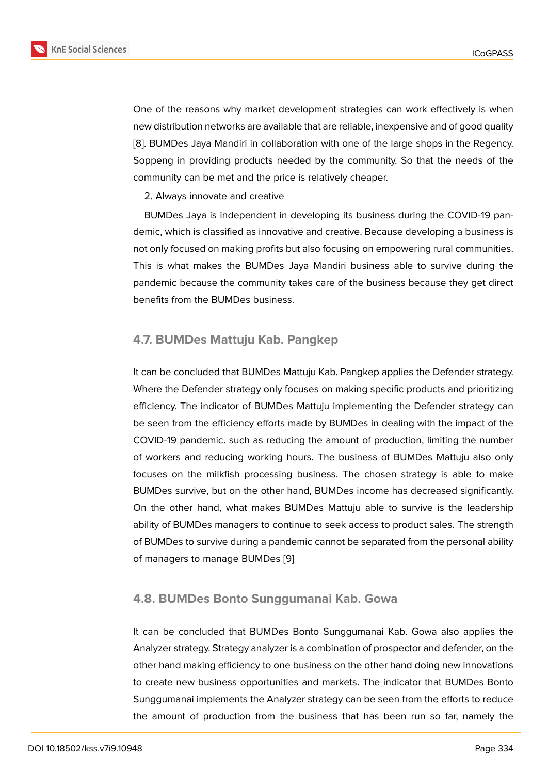One of the reasons why market development strategies can work effectively is when new distribution networks are available that are reliable, inexpensive and of good quality [8]. BUMDes Jaya Mandiri in collaboration with one of the large shops in the Regency. Soppeng in providing products needed by the community. So that the needs of the community can be met and the price is relatively cheaper.

2. Always innovate and creative

BUMDes Jaya is independent in developing its business during the COVID-19 pandemic, which is classified as innovative and creative. Because developing a business is not only focused on making profits but also focusing on empowering rural communities. This is what makes the BUMDes Jaya Mandiri business able to survive during the pandemic because the community takes care of the business because they get direct benefits from the BUMDes business.

## **4.7. BUMDes Mattuju Kab. Pangkep**

It can be concluded that BUMDes Mattuju Kab. Pangkep applies the Defender strategy. Where the Defender strategy only focuses on making specific products and prioritizing efficiency. The indicator of BUMDes Mattuju implementing the Defender strategy can be seen from the efficiency efforts made by BUMDes in dealing with the impact of the COVID-19 pandemic. such as reducing the amount of production, limiting the number of workers and reducing working hours. The business of BUMDes Mattuju also only focuses on the milkfish processing business. The chosen strategy is able to make BUMDes survive, but on the other hand, BUMDes income has decreased significantly. On the other hand, what makes BUMDes Mattuju able to survive is the leadership ability of BUMDes managers to continue to seek access to product sales. The strength of BUMDes to survive during a pandemic cannot be separated from the personal ability of managers to manage BUMDes [9]

## **4.8. BUMDes Bonto Sung[gu](#page-8-2)manai Kab. Gowa**

It can be concluded that BUMDes Bonto Sunggumanai Kab. Gowa also applies the Analyzer strategy. Strategy analyzer is a combination of prospector and defender, on the other hand making efficiency to one business on the other hand doing new innovations to create new business opportunities and markets. The indicator that BUMDes Bonto Sunggumanai implements the Analyzer strategy can be seen from the efforts to reduce the amount of production from the business that has been run so far, namely the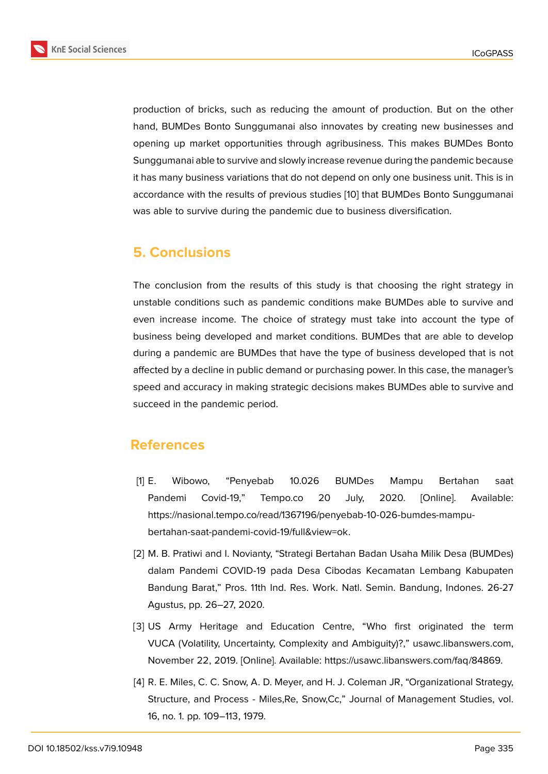production of bricks, such as reducing the amount of production. But on the other hand, BUMDes Bonto Sunggumanai also innovates by creating new businesses and opening up market opportunities through agribusiness. This makes BUMDes Bonto Sunggumanai able to survive and slowly increase revenue during the pandemic because it has many business variations that do not depend on only one business unit. This is in accordance with the results of previous studies [10] that BUMDes Bonto Sunggumanai was able to survive during the pandemic due to business diversification.

## **5. Conclusions**

The conclusion from the results of this study is that choosing the right strategy in unstable conditions such as pandemic conditions make BUMDes able to survive and even increase income. The choice of strategy must take into account the type of business being developed and market conditions. BUMDes that are able to develop during a pandemic are BUMDes that have the type of business developed that is not affected by a decline in public demand or purchasing power. In this case, the manager's speed and accuracy in making strategic decisions makes BUMDes able to survive and succeed in the pandemic period.

## **References**

- [1] E. Wibowo, "Penyebab 10.026 BUMDes Mampu Bertahan saat Pandemi Covid-19," Tempo.co 20 July, 2020. [Online]. Available: https://nasional.tempo.co/read/1367196/penyebab-10-026-bumdes-mampubertahan-saat-pandemi-covid-19/full&view=ok.
- [2] M. B. Pratiwi and I. Novianty, "Strategi Bertahan Badan Usaha Milik Desa (BUMDes) dalam Pandemi COVID-19 pada Desa Cibodas Kecamatan Lembang Kabupaten Bandung Barat," Pros. 11th Ind. Res. Work. Natl. Semin. Bandung, Indones. 26-27 Agustus, pp. 26–27, 2020.
- <span id="page-7-0"></span>[3] US Army Heritage and Education Centre, "Who first originated the term VUCA (Volatility, Uncertainty, Complexity and Ambiguity)?," usawc.libanswers.com, November 22, 2019. [Online]. Available: https://usawc.libanswers.com/faq/84869.
- <span id="page-7-2"></span><span id="page-7-1"></span>[4] R. E. Miles, C. C. Snow, A. D. Meyer, and H. J. Coleman JR, "Organizational Strategy, Structure, and Process - Miles,Re, Snow,Cc," Journal of Management Studies, vol. 16, no. 1. pp. 109–113, 1979.